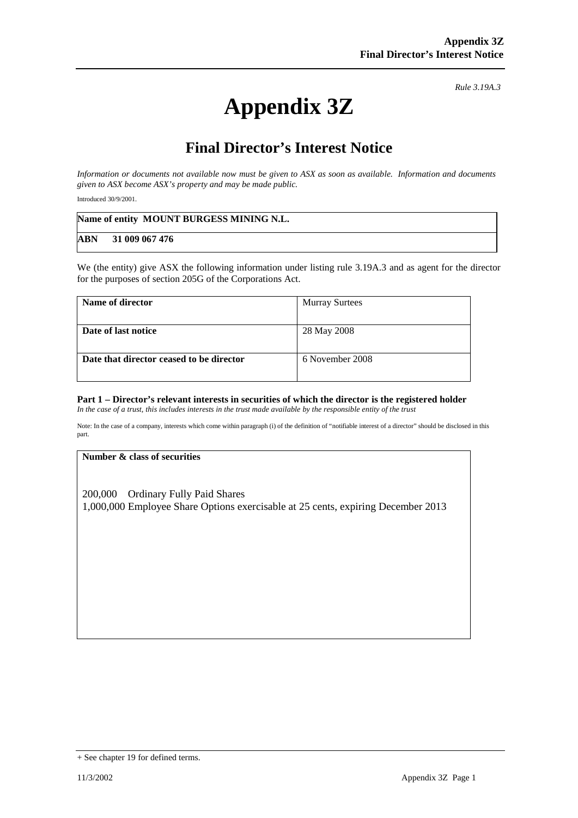# **Appendix 3Z**

*Rule 3.19A.3*

# **Final Director's Interest Notice**

*Information or documents not available now must be given to ASX as soon as available. Information and documents given to ASX become ASX's property and may be made public.*

Introduced 30/9/2001.

|            | Name of entity MOUNT BURGESS MINING N.L. |
|------------|------------------------------------------|
| <b>ABN</b> | 31 009 067 476                           |

We (the entity) give ASX the following information under listing rule 3.19A.3 and as agent for the director for the purposes of section 205G of the Corporations Act.

| Name of director                         | <b>Murray Surtees</b> |
|------------------------------------------|-----------------------|
|                                          |                       |
| Date of last notice                      | 28 May 2008           |
|                                          |                       |
| Date that director ceased to be director | 6 November 2008       |
|                                          |                       |

## **Part 1 – Director's relevant interests in securities of which the director is the registered holder**

*In the case of a trust, this includes interests in the trust made available by the responsible entity of the trust*

Note: In the case of a company, interests which come within paragraph (i) of the definition of "notifiable interest of a director" should be disclosed in this part.

#### **Number & class of securities**

200,000 Ordinary Fully Paid Shares 1,000,000 Employee Share Options exercisable at 25 cents, expiring December 2013

<sup>+</sup> See chapter 19 for defined terms.